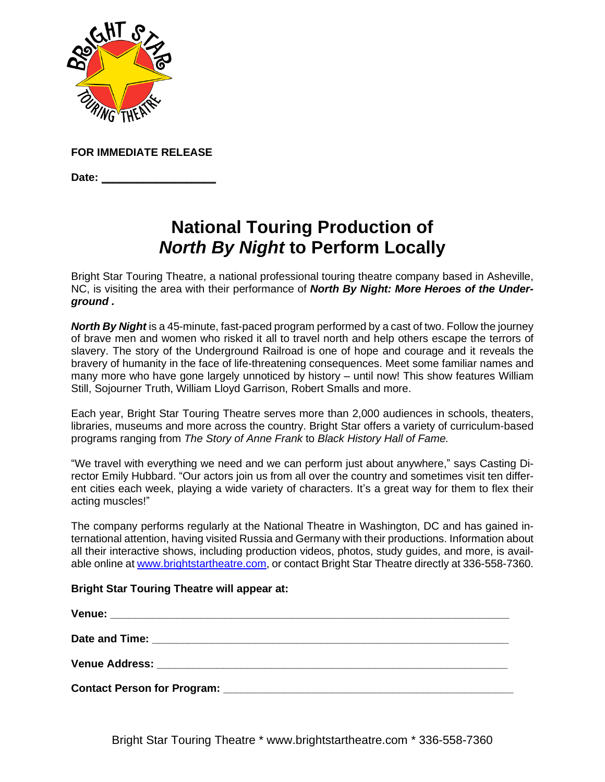

**FOR IMMEDIATE RELEASE**

**Date: \_\_\_\_\_\_\_\_\_\_\_\_\_\_\_\_\_\_\_**

## **National Touring Production of** *North By Night* **to Perform Locally**

Bright Star Touring Theatre, a national professional touring theatre company based in Asheville, NC, is visiting the area with their performance of *North By Night: More Heroes of the Underground .* 

*North By Night* is a 45-minute, fast-paced program performed by a cast of two. Follow the journey of brave men and women who risked it all to travel north and help others escape the terrors of slavery. The story of the Underground Railroad is one of hope and courage and it reveals the bravery of humanity in the face of life-threatening consequences. Meet some familiar names and many more who have gone largely unnoticed by history – until now! This show features William Still, Sojourner Truth, William Lloyd Garrison, Robert Smalls and more.

Each year, Bright Star Touring Theatre serves more than 2,000 audiences in schools, theaters, libraries, museums and more across the country. Bright Star offers a variety of curriculum-based programs ranging from *The Story of Anne Frank* to *Black History Hall of Fame.*

"We travel with everything we need and we can perform just about anywhere," says Casting Director Emily Hubbard. "Our actors join us from all over the country and sometimes visit ten different cities each week, playing a wide variety of characters. It's a great way for them to flex their acting muscles!"

The company performs regularly at the National Theatre in Washington, DC and has gained international attention, having visited Russia and Germany with their productions. Information about all their interactive shows, including production videos, photos, study guides, and more, is available online at [www.brightstartheatre.com,](http://www.brightstartheatre.com/) or contact Bright Star Theatre directly at 336-558-7360.

## **Bright Star Touring Theatre will appear at:**